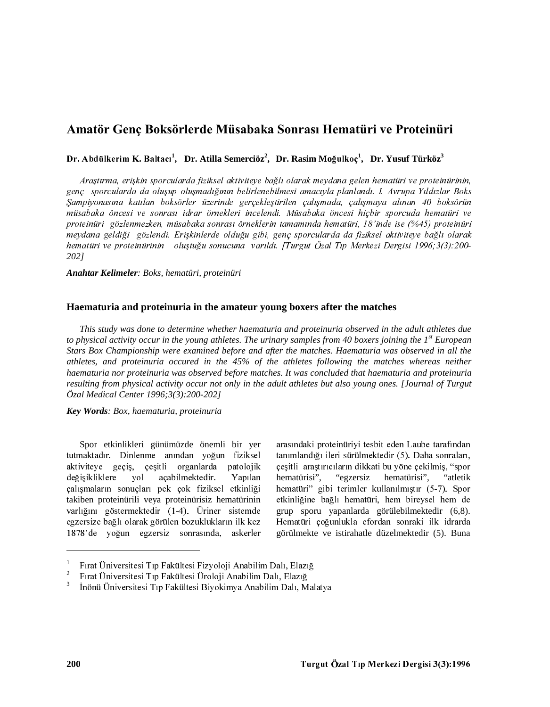# Amatör Genç Boksörlerde Müsabaka Sonrası Hematüri ve Proteinüri

Dr. Abdülkerim K. Baltacı<sup>1</sup>, Dr. Atilla Semerciöz<sup>2</sup>, Dr. Rasim Moğulkoç<sup>1</sup>, Dr. Yusuf Türköz<sup>3</sup>

Araştırma, erişkin sporcularda fiziksel aktiviteye bağlı olarak meydana gelen hematüri ve proteinürinin, genç sporcularda da oluşup oluşmadığının belirlenebilmesi amacıyla planlandı. I. Avrupa Yıldızlar Boks Sampiyonasına katılan boksörler üzerinde gerçekleştirilen çalışmada, çalışmaya alınan 40 boksörün müsabaka öncesi ve sonrası idrar örnekleri incelendi. Müsabaka öncesi hiçbir sporcuda hematüri ve proteinüri gözlenmezken, müsabaka sonrası örneklerin tamamında hematüri, 18'inde ise (%45) proteinüri meydana geldiği gözlendi. Erişkinlerde olduğu gibi, genç sporcularda da fiziksel aktiviteye bağlı olarak hematüri ve proteinürinin oluştuğu sonucuna varıldı. [Turgut Özal Tıp Merkezi Dergisi 1996;3(3):200-2021

#### Anahtar Kelimeler: Boks, hematüri, proteinüri

### Haematuria and proteinuria in the amateur young boxers after the matches

This study was done to determine whether haematuria and proteinuria observed in the adult athletes due to physical activity occur in the young athletes. The urinary samples from 40 boxers joining the  $I<sup>st</sup>$  European Stars Box Championship were examined before and after the matches. Haematuria was observed in all the athletes, and proteinuria occured in the 45% of the athletes following the matches whereas neither haematuria nor proteinuria was observed before matches. It was concluded that haematuria and proteinuria resulting from physical activity occur not only in the adult athletes but also young ones. [Journal of Turgut Özal Medical Center 1996;3(3):200-2021

### Key Words: Box, haematuria, proteinuria

Spor etkinlikleri günümüzde önemli bir yer tutmaktadır. Dinlenme anından yoğun fiziksel aktiviteye geçiş, çeşitli organlarda patolojik değişikliklere yol acabilmektedir. Yapılan çalışmaların sonuçları pek çok fiziksel etkinliği takiben proteinürili veya proteinürisiz hematürinin varlığını göstermektedir (1-4). Üriner sistemde egzersize bağlı olarak görülen bozuklukların ilk kez 1878'de yoğun egzersiz sonrasında, askerler

arasındaki proteinüriyi tesbit eden Laube tarafından tanımlandığı ileri sürülmektedir (5). Daha sonraları, çeşitli araştırıcıların dikkati bu yöne çekilmiş, "spor hematürisi". hematürisi", "egzersiz "atletik hematüri" gibi terimler kullanılmıştır (5-7). Spor etkinliğine bağlı hematüri, hem bireysel hem de grup sporu vapanlarda görülebilmektedir (6,8). Hematüri çoğunlukla efordan sonraki ilk idrarda görülmekte ve istirahatle düzelmektedir (5). Buna

Fırat Üniversitesi Tıp Fakültesi Fizyoloji Anabilim Dalı, Elazığ

 $\,2$ Fırat Üniversitesi Tıp Fakültesi Üroloji Anabilim Dalı, Elazığ

 $\ensuremath{\mathfrak{Z}}$ İnönü Üniversitesi Tıp Fakültesi Biyokimya Anabilim Dalı, Malatya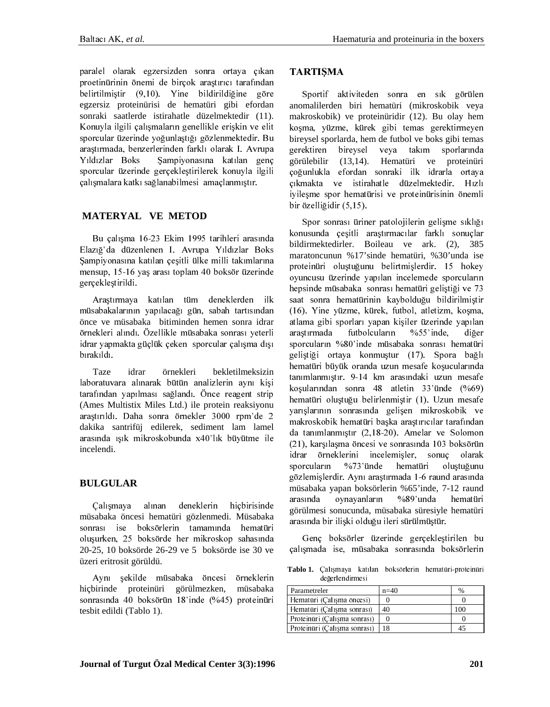paralel olarak egzersizden sonra ortaya çıkan proetinürinin önemi de birçok arastırıcı tarafından belirtilmiştir (9,10). Yine bildirildiğine göre egzersiz proteinürisi de hematüri gibi efordan sonraki saatlerde istirahatle düzelmektedir (11). Konuyla ilgili çalışmaların genellikle erişkin ve elit sporcular üzerinde yoğunlaştığı gözlenmektedir. Bu araştırmada, benzerlerinden farklı olarak I. Avrupa Yıldızlar Boks Sampiyonasına katılan genç sporcular üzerinde gerçekleştirilerek konuyla ilgili calışmalara katkı sağlanabilmesi amaçlanmıştır.

# **MATERYAL VE METOD**

Bu çalışma 16-23 Ekim 1995 tarihleri arasında Elazığ'da düzenlenen I. Avrupa Yıldızlar Boks Şampiyonasına katılan çeşitli ülke milli takımlarına mensup, 15-16 yaş arası toplam 40 boksör üzerinde gerçekleştirildi.

Araştırmaya katılan tüm deneklerden ilk müsabakalarının yapılacağı gün, sabah tartısından önce ve müsabaka bitiminden hemen sonra idrar örnekleri alındı. Özellikle müsabaka sonrası yeterli idrar yapmakta güçlük çeken sporcular çalışma dışı bırakıldı.

Taze örnekleri idrar bekletilmeksizin laboratuvara alınarak bütün analizlerin aynı kişi tarafından yapılması sağlandı. Önce reagent strip (Ames Multistix Miles Ltd.) ile protein reaksiyonu araştırıldı. Daha sonra örnekler 3000 rpm'de 2 dakika santrifüj edilerek, sediment lam lamel arasında ışık mikroskobunda x40'lık büyütme ile incelendi.

## **BULGULAR**

Calışmaya alınan deneklerin hiçbirisinde müsabaka öncesi hematüri gözlenmedi. Müsabaka sonrası ise boksörlerin tamamında hematüri oluşurken, 25 boksörde her mikroskop sahasında 20-25, 10 boksörde 26-29 ve 5 boksörde ise 30 ve üzeri eritrosit görüldü.

Avnı sekilde müsabaka öncesi örneklerin hiçbirinde proteinüri görülmezken, müsabaka sonrasında 40 boksörün 18'inde (%45) proteinüri tesbit edildi (Tablo 1).

## **TARTIŞMA**

Sportif aktiviteden sonra en sık görülen anomalilerden biri hematüri (mikroskobik veya makroskobik) ve proteinüridir (12). Bu olay hem koşma, yüzme, kürek gibi temas gerektirmeyen bireysel sporlarda, hem de futbol ve boks gibi temas bireysel gerektiren veya takım sporlarında görülebilir  $(13, 14)$ . Hematüri ve proteinüri çoğunlukla efordan sonraki ilk idrarla ortaya çıkmakta ve istirahatle düzelmektedir. Hızlı iyileşme spor hematürisi ve proteinürisinin önemli bir özelliğidir (5,15).

Spor sonrası üriner patolojilerin gelişme sıklığı konusunda çeşitli araştırmacılar farklı sonuçlar bildirmektedirler. Boileau ve ark. (2), 385 maratoncunun %17'sinde hematüri, %30'unda ise proteinüri oluştuğunu belirtmişlerdir. 15 hokey oyuncusu üzerinde yapılan incelemede sporcuların hepsinde müsabaka sonrası hematüri geliştiği ve 73 saat sonra hematürinin kaybolduğu bildirilmiştir (16). Yine yüzme, kürek, futbol, atletizm, koşma, atlama gibi sporları yapan kişiler üzerinde yapılan araştırmada futbolcuların  $\%55'$  inde, diğer sporcuların %80'inde müsabaka sonrası hematüri geliştiği ortaya konmuştur (17). Spora bağlı hematüri büyük oranda uzun mesafe koşucularında tanımlanmıştır. 9-14 km arasındaki uzun mesafe koşularından sonra 48 atletin 33'ünde (%69) hematüri oluştuğu belirlenmiştir (1). Uzun mesafe yarışlarının sonrasında gelişen mikroskobik ve makroskobik hematüri başka araştırıcılar tarafından da tanımlanmıştır (2,18-20). Amelar ve Solomon (21), karşılaşma öncesi ve sonrasında 103 boksörün idrar örneklerini incelemisler, sonuc olarak %73'ünde hematüri sporcuların oluştuğunu gözlemişlerdir. Aynı araştırmada 1-6 raund arasında müsabaka yapan boksörlerin %65'inde, 7-12 raund arasında ovnavanların %89'unda hematüri görülmesi sonucunda, müsabaka süresiyle hematüri arasında bir ilişki olduğu ileri sürülmüştür.

Genç boksörler üzerinde gerçekleştirilen bu çalışmada ise, müsabaka sonrasında boksörlerin

Tablo 1. Çalışmaya katılan boksörlerin hematüri-proteinüri değerlendirmesi

| Parametreler                 | $n=40$ | $\%$ |
|------------------------------|--------|------|
| Hematüri (Calisma öncesi)    |        |      |
| Hematüri (Calisma sonrası)   | 40     | 100  |
| Proteinuri (Çalışma sonrası) |        |      |
| Proteinuri (Calisma sonrası) |        |      |